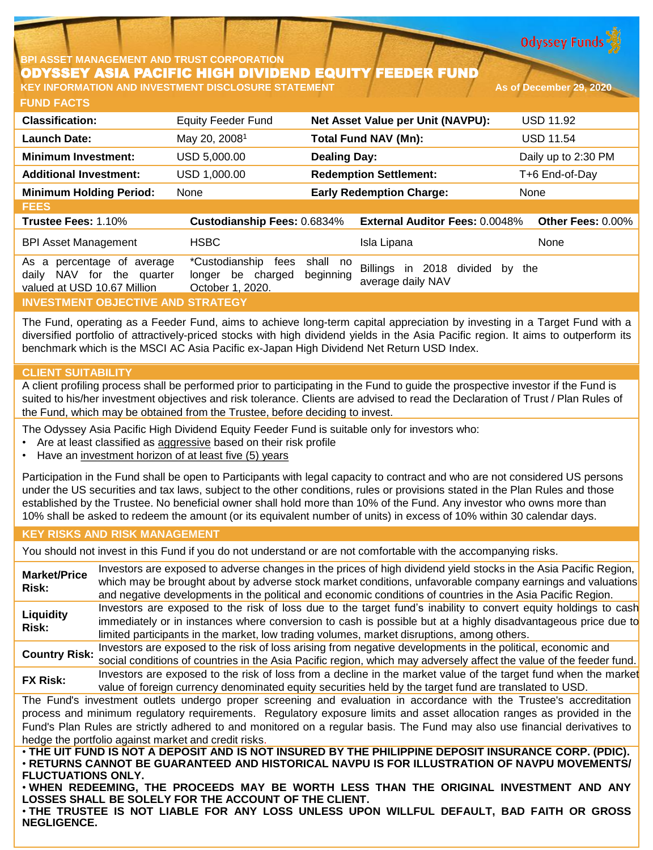**Odyssey Funds** 

# **BPI ASSET MANAGEMENT AND TRUST CORPORATION** ODYSSEY ASIA PACIFIC HIGH DIVIDEND EQUITY FEEDER FUND

**FUND FACTS KEY INFORMATION AND INVESTMENT DISCLOSURE STATEMENT As of December 29, 2020**

| <b>Classification:</b>                                                                          | <b>Equity Feeder Fund</b>                                       |                       | Net Asset Value per Unit (NAVPU):                   | <b>USD 11.92</b>    |  |
|-------------------------------------------------------------------------------------------------|-----------------------------------------------------------------|-----------------------|-----------------------------------------------------|---------------------|--|
| <b>Launch Date:</b>                                                                             | May 20, 2008 <sup>1</sup>                                       |                       | <b>Total Fund NAV (Mn):</b>                         | <b>USD 11.54</b>    |  |
| <b>Minimum Investment:</b>                                                                      | USD 5,000.00                                                    | <b>Dealing Day:</b>   |                                                     | Daily up to 2:30 PM |  |
| <b>Additional Investment:</b>                                                                   | USD 1,000.00                                                    |                       | <b>Redemption Settlement:</b>                       | T+6 End-of-Day      |  |
| <b>Minimum Holding Period:</b>                                                                  | None                                                            |                       | <b>Early Redemption Charge:</b>                     | None                |  |
| <b>FEES</b>                                                                                     |                                                                 |                       |                                                     |                     |  |
| Trustee Fees: 1.10%                                                                             | Custodianship Fees: 0.6834%                                     |                       | <b>External Auditor Fees: 0.0048%</b>               | Other Fees: 0.00%   |  |
| <b>BPI Asset Management</b>                                                                     | <b>HSBC</b>                                                     |                       | Isla Lipana                                         | None                |  |
| percentage of average<br>As<br>a<br>NAV for the quarter<br>daily<br>valued at USD 10.67 Million | *Custodianship<br>fees<br>longer be charged<br>October 1, 2020. | shall no<br>beginning | Billings in 2018 divided<br>bv<br>average daily NAV | the                 |  |
| <b>INVESTMENT OBJECTIVE AND STRATEGY</b>                                                        |                                                                 |                       |                                                     |                     |  |

The Fund, operating as a Feeder Fund, aims to achieve long-term capital appreciation by investing in a Target Fund with a diversified portfolio of attractively-priced stocks with high dividend yields in the Asia Pacific region. It aims to outperform its benchmark which is the MSCI AC Asia Pacific ex-Japan High Dividend Net Return USD Index.

## **CLIENT SUITABILITY**

A client profiling process shall be performed prior to participating in the Fund to guide the prospective investor if the Fund is suited to his/her investment objectives and risk tolerance. Clients are advised to read the Declaration of Trust / Plan Rules of the Fund, which may be obtained from the Trustee, before deciding to invest.

The Odyssey Asia Pacific High Dividend Equity Feeder Fund is suitable only for investors who:

- Are at least classified as aggressive based on their risk profile
- Have an investment horizon of at least five (5) years

Participation in the Fund shall be open to Participants with legal capacity to contract and who are not considered US persons under the US securities and tax laws, subject to the other conditions, rules or provisions stated in the Plan Rules and those established by the Trustee. No beneficial owner shall hold more than 10% of the Fund. Any investor who owns more than 10% shall be asked to redeem the amount (or its equivalent number of units) in excess of 10% within 30 calendar days.

### **KEY RISKS AND RISK MANAGEMENT**

You should not invest in this Fund if you do not understand or are not comfortable with the accompanying risks.

**Market/Price Risk:** Investors are exposed to adverse changes in the prices of high dividend yield stocks in the Asia Pacific Region, which may be brought about by adverse stock market conditions, unfavorable company earnings and valuations and negative developments in the political and economic conditions of countries in the Asia Pacific Region. **Liquidity Risk:** Investors are exposed to the risk of loss due to the target fund's inability to convert equity holdings to cash immediately or in instances where conversion to cash is possible but at a highly disadvantageous price due to limited participants in the market, low trading volumes, market disruptions, among others. **Country Risk:** Investors are exposed to the risk of loss arising from negative developments in the political, economic and social conditions of countries in the Asia Pacific region, which may adversely affect the value of the feeder fund. **FX Risk:** Investors are exposed to the risk of loss from <sup>a</sup> decline in the market value of the target fund when the market value of foreign currency denominated equity securities held by the target fund are translated to USD. The Fund's investment outlets undergo proper screening and evaluation in accordance with the Trustee's accreditation process and minimum regulatory requirements. Regulatory exposure limits and asset allocation ranges as provided in the Fund's Plan Rules are strictly adhered to and monitored on a regular basis. The Fund may also use financial derivatives to hedge the portfolio against market and credit risks. . THE UIT FUND IS NOT A DEPOSIT AND IS NOT INSURED BY THE PHILIPPINE DEPOSIT INSURANCE CORP. (PDIC). • **RETURNS CANNOT BE GUARANTEED AND HISTORICAL NAVPU IS FOR ILLUSTRATION OF NAVPU MOVEMENTS/ FLUCTUATIONS ONLY.**

• **WHEN REDEEMING, THE PROCEEDS MAY BE WORTH LESS THAN THE ORIGINAL INVESTMENT AND ANY LOSSES SHALL BE SOLELY FOR THE ACCOUNT OF THE CLIENT.**

• **THE TRUSTEE IS NOT LIABLE FOR ANY LOSS UNLESS UPON WILLFUL DEFAULT, BAD FAITH OR GROSS NEGLIGENCE.**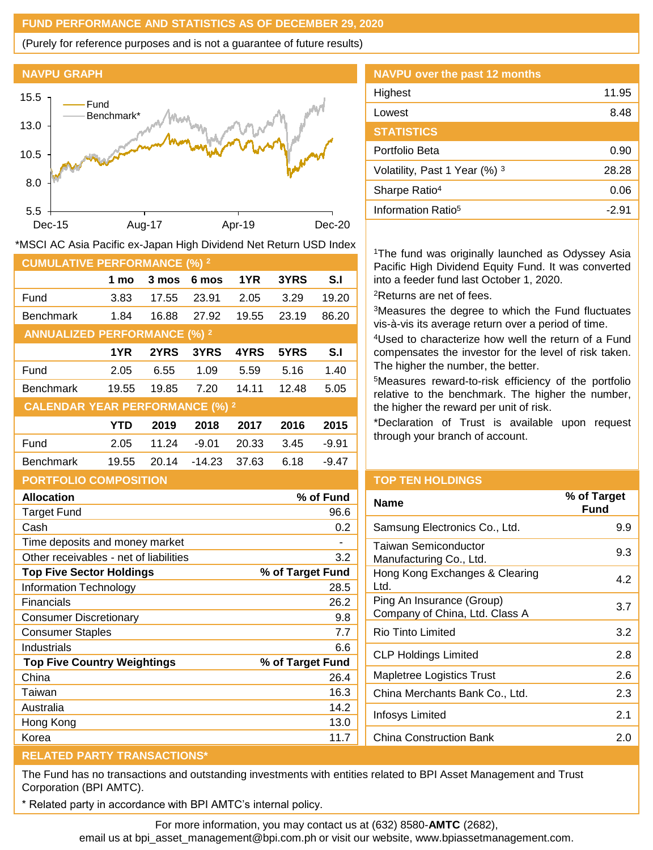## **FUND PERFORMANCE AND STATISTICS AS OF DECEMBER 29, 2020**

(Purely for reference purposes and is not a guarantee of future results)



**CUMULATIVE PERFORMANCE (%) <sup>2</sup>**

**ANNUALIZED PERFORMANCE (%) <sup>2</sup>**

**CALENDAR YEAR PERFORMANCE (%) <sup>2</sup>**



Fund 3.83 17.55 23.91 2.05 3.29 19.20 Benchmark 1.84 16.88 27.92 19.55 23.19 86.20

\*MSCI AC Asia Pacific ex-Japan High Dividend Net Return USD Index

Fund 2.05 6.55 1.09 5.59 5.16 1.40 Benchmark 19.55 19.85 7.20 14.11 12.48 5.05

Fund 2.05 11.24 -9.01 20.33 3.45 -9.91 Benchmark 19.55 20.14 -14.23 37.63 6.18 -9.47

**1 mo 3 mos 6 mos 1YR 3YRS S.I**

**1YR 2YRS 3YRS 4YRS 5YRS S.I**

**YTD 2019 2018 2017 2016 2015**

| NAVPU over the past 12 months  |       |
|--------------------------------|-------|
| Highest                        | 11.95 |
| Lowest                         | 8.48  |
| <b>STATISTICS</b>              |       |
| Portfolio Beta                 | 0.90  |
| Volatility, Past 1 Year (%) 3  | 28.28 |
| Sharpe Ratio <sup>4</sup>      | 0.06  |
| Information Ratio <sup>5</sup> | -2.91 |

<sup>1</sup>The fund was originally launched as Odyssey Asia Pacific High Dividend Equity Fund. It was converted into a feeder fund last October 1, 2020. <sup>2</sup>Returns are net of fees.

<sup>3</sup>Measures the degree to which the Fund fluctuates vis-à-vis its average return over a period of time.

<sup>4</sup>Used to characterize how well the return of a Fund compensates the investor for the level of risk taken. The higher the number, the better.

<sup>5</sup>Measures reward-to-risk efficiency of the portfolio relative to the benchmark. The higher the number, the higher the reward per unit of risk.

\*Declaration of Trust is available upon request through your branch of account.

| <b>PORTFOLIO COMPOSITION</b>           |                  |
|----------------------------------------|------------------|
| <b>Allocation</b>                      | % of Fund        |
| <b>Target Fund</b>                     | 96.6             |
| Cash                                   | 0.2              |
| Time deposits and money market         |                  |
| Other receivables - net of liabilities | 3.2              |
| <b>Top Five Sector Holdings</b>        | % of Target Fund |
| <b>Information Technology</b>          | 28.5             |
| Financials                             | 26.2             |
| Consumer Discretionary                 | 9.8              |
| <b>Consumer Staples</b>                | 7.7              |
| Industrials                            | 6.6              |
| <b>Top Five Country Weightings</b>     | % of Target Fund |
| China                                  | 26.4             |
| Taiwan                                 | 16.3             |
| Australia                              | 14.2             |
| Hong Kong                              | 13.0             |
| Korea                                  | 11.7             |

## **TOP TEN HOLDINGS**

| Name                                                        | % of Target<br>Fund |
|-------------------------------------------------------------|---------------------|
| Samsung Electronics Co., Ltd.                               | 9.9                 |
| Taiwan Semiconductor<br>Manufacturing Co., Ltd.             | 9.3                 |
| Hong Kong Exchanges & Clearing<br>Ltd.                      | 4.2                 |
| Ping An Insurance (Group)<br>Company of China, Ltd. Class A | 3.7                 |
| Rio Tinto Limited                                           | 3.2                 |
| CLP Holdings Limited                                        | 2.8                 |
| Mapletree Logistics Trust                                   | 2.6                 |
| China Merchants Bank Co., Ltd.                              | 2.3                 |
| Infosys Limited                                             | 2.1                 |
| <b>China Construction Bank</b>                              | 2.0                 |
|                                                             |                     |

## **RELATED PARTY TRANSACTIONS\***

The Fund has no transactions and outstanding investments with entities related to BPI Asset Management and Trust Corporation (BPI AMTC).

Related party in accordance with BPI AMTC's internal policy.

For more information, you may contact us at (632) 8580-**AMTC** (2682),

email us at bpi\_asset\_management@bpi.com.ph or visit our website, www.bpiassetmanagement.com.